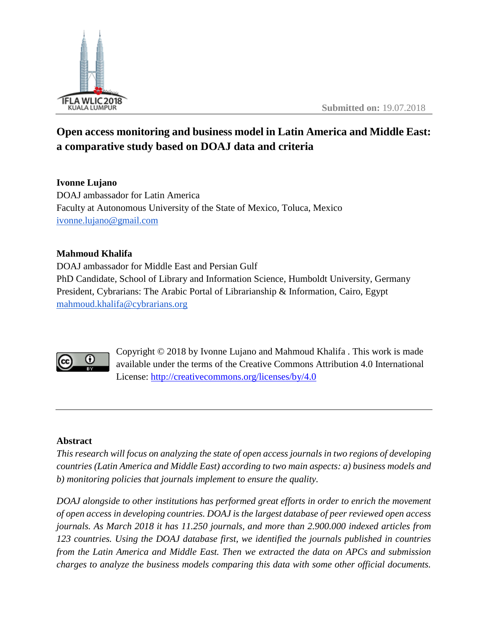

# **Open access monitoring and business model in Latin America and Middle East: a comparative study based on DOAJ data and criteria**

**Ivonne Lujano** DOAJ ambassador for Latin America Faculty at Autonomous University of the State of Mexico, Toluca, Mexico [ivonne.lujano@g](mailto:ivonne@doaj.org)mail.com

## **Mahmoud Khalifa**

DOAJ ambassador for Middle East and Persian Gulf PhD Candidate, School of Library and Information Science, Humboldt University, Germany President, Cybrarians: The Arabic Portal of Librarianship & Information, Cairo, Egypt [mahmoud.khalifa@cybrarians.org](mailto:mahmoud.khalifa@cybrarians.org)



Copyright © 2018 by Ivonne Lujano and Mahmoud Khalifa . This work is made available under the terms of the Creative Commons Attribution 4.0 International License:<http://creativecommons.org/licenses/by/4.0>

## **Abstract**

*This research will focus on analyzing the state of open access journals in two regions of developing countries (Latin America and Middle East) according to two main aspects: a) business models and b) monitoring policies that journals implement to ensure the quality.* 

*DOAJ alongside to other institutions has performed great efforts in order to enrich the movement of open access in developing countries. DOAJ is the largest database of peer reviewed open access journals. As March 2018 it has 11.250 journals, and more than 2.900.000 indexed articles from 123 countries. Using the DOAJ database first, we identified the journals published in countries from the Latin America and Middle East. Then we extracted the data on APCs and submission charges to analyze the business models comparing this data with some other official documents.*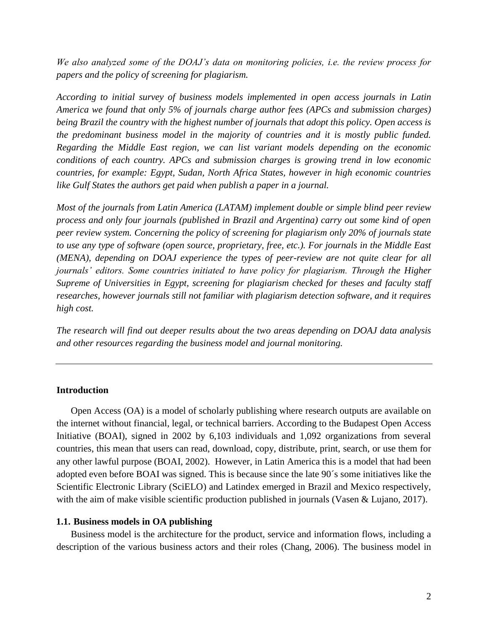*We also analyzed some of the DOAJ's data on monitoring policies, i.e. the review process for papers and the policy of screening for plagiarism.*

*According to initial survey of business models implemented in open access journals in Latin America we found that only 5% of journals charge author fees (APCs and submission charges) being Brazil the country with the highest number of journals that adopt this policy. Open access is the predominant business model in the majority of countries and it is mostly public funded. Regarding the Middle East region, we can list variant models depending on the economic conditions of each country. APCs and submission charges is growing trend in low economic countries, for example: Egypt, Sudan, North Africa States, however in high economic countries like Gulf States the authors get paid when publish a paper in a journal.* 

*Most of the journals from Latin America (LATAM) implement double or simple blind peer review process and only four journals (published in Brazil and Argentina) carry out some kind of open peer review system. Concerning the policy of screening for plagiarism only 20% of journals state to use any type of software (open source, proprietary, free, etc.). For journals in the Middle East (MENA), depending on DOAJ experience the types of peer-review are not quite clear for all journals' editors. Some countries initiated to have policy for plagiarism. Through the Higher Supreme of Universities in Egypt, screening for plagiarism checked for theses and faculty staff researches, however journals still not familiar with plagiarism detection software, and it requires high cost.* 

*The research will find out deeper results about the two areas depending on DOAJ data analysis and other resources regarding the business model and journal monitoring.*

### **Introduction**

Open Access (OA) is a model of scholarly publishing where research outputs are available on the internet without financial, legal, or technical barriers. According to the Budapest Open Access Initiative (BOAI), signed in 2002 by 6,103 individuals and 1,092 organizations from several countries, this mean that users can read, download, copy, distribute, print, search, or use them for any other lawful purpose (BOAI, 2002). However, in Latin America this is a model that had been adopted even before BOAI was signed. This is because since the late 90´s some initiatives like the Scientific Electronic Library (SciELO) and Latindex emerged in Brazil and Mexico respectively, with the aim of make visible scientific production published in journals (Vasen & Lujano, 2017).

#### **1.1. Business models in OA publishing**

Business model is the architecture for the product, service and information flows, including a description of the various business actors and their roles (Chang, 2006). The business model in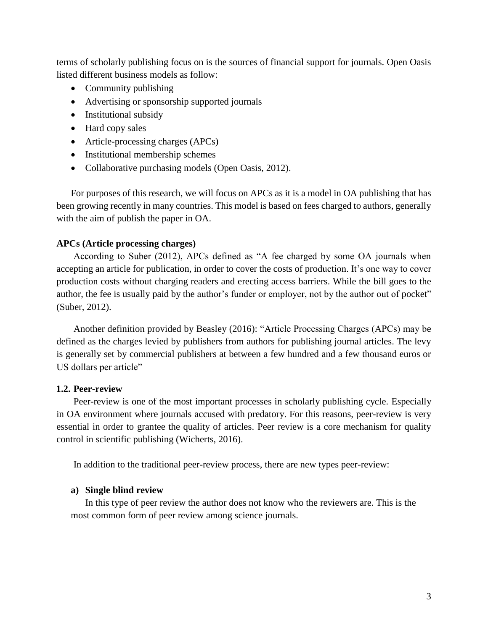terms of scholarly publishing focus on is the sources of financial support for journals. Open Oasis listed different business models as follow:

- Community publishing
- Advertising or sponsorship supported journals
- Institutional subsidy
- Hard copy sales
- Article-processing charges (APCs)
- Institutional membership schemes
- Collaborative purchasing models (Open Oasis, 2012).

For purposes of this research, we will focus on APCs as it is a model in OA publishing that has been growing recently in many countries. This model is based on fees charged to authors, generally with the aim of publish the paper in OA.

## **APCs (Article processing charges)**

According to Suber (2012), APCs defined as "A fee charged by some OA journals when accepting an article for publication, in order to cover the costs of production. It's one way to cover production costs without charging readers and erecting access barriers. While the bill goes to the author, the fee is usually paid by the author's funder or employer, not by the author out of pocket" (Suber, 2012).

Another definition provided by Beasley (2016): "Article Processing Charges (APCs) may be defined as the charges levied by publishers from authors for publishing journal articles. The levy is generally set by commercial publishers at between a few hundred and a few thousand euros or US dollars per article"

## **1.2. Peer-review**

Peer-review is one of the most important processes in scholarly publishing cycle. Especially in OA environment where journals accused with predatory. For this reasons, peer-review is very essential in order to grantee the quality of articles. Peer review is a core mechanism for quality control in scientific publishing (Wicherts, 2016).

In addition to the traditional peer-review process, there are new types peer-review:

## **a) Single blind review**

In this type of peer review the author does not know who the reviewers are. This is the most common form of peer review among science journals.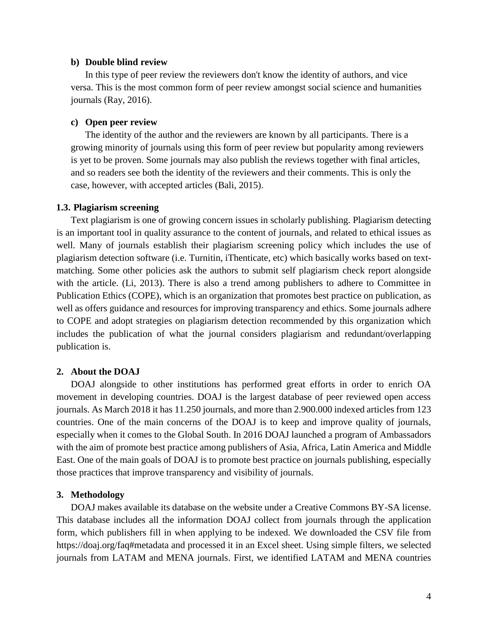#### **b) Double blind review**

In this type of peer review the reviewers don't know the identity of authors, and vice versa. This is the most common form of peer review amongst social science and humanities journals (Ray, 2016).

#### **c) Open peer review**

The identity of the author and the reviewers are known by all participants. There is a growing minority of journals using this form of peer review but popularity among reviewers is yet to be proven. Some journals may also publish the reviews together with final articles, and so readers see both the identity of the reviewers and their comments. This is only the case, however, with accepted articles (Bali, 2015).

#### **1.3. Plagiarism screening**

Text plagiarism is one of growing concern issues in scholarly publishing. Plagiarism detecting is an important tool in quality assurance to the content of journals, and related to ethical issues as well. Many of journals establish their plagiarism screening policy which includes the use of plagiarism detection software (i.e. Turnitin, iThenticate, etc) which basically works based on textmatching. Some other policies ask the authors to submit self plagiarism check report alongside with the article. (Li, 2013). There is also a trend among publishers to adhere to Committee in Publication Ethics (COPE), which is an organization that promotes best practice on publication, as well as offers guidance and resources for improving transparency and ethics. Some journals adhere to COPE and adopt strategies on plagiarism detection recommended by this organization which includes the publication of what the journal considers plagiarism and redundant/overlapping publication is.

#### **2. About the DOAJ**

DOAJ alongside to other institutions has performed great efforts in order to enrich OA movement in developing countries. DOAJ is the largest database of peer reviewed open access journals. As March 2018 it has 11.250 journals, and more than 2.900.000 indexed articles from 123 countries. One of the main concerns of the DOAJ is to keep and improve quality of journals, especially when it comes to the Global South. In 2016 DOAJ launched a program of Ambassadors with the aim of promote best practice among publishers of Asia, Africa, Latin America and Middle East. One of the main goals of DOAJ is to promote best practice on journals publishing, especially those practices that improve transparency and visibility of journals.

#### **3. Methodology**

DOAJ makes available its database on the website under a Creative Commons BY-SA license. This database includes all the information DOAJ collect from journals through the application form, which publishers fill in when applying to be indexed. We downloaded the CSV file from <https://doaj.org/faq#metadata> and processed it in an Excel sheet. Using simple filters, we selected journals from LATAM and MENA journals. First, we identified LATAM and MENA countries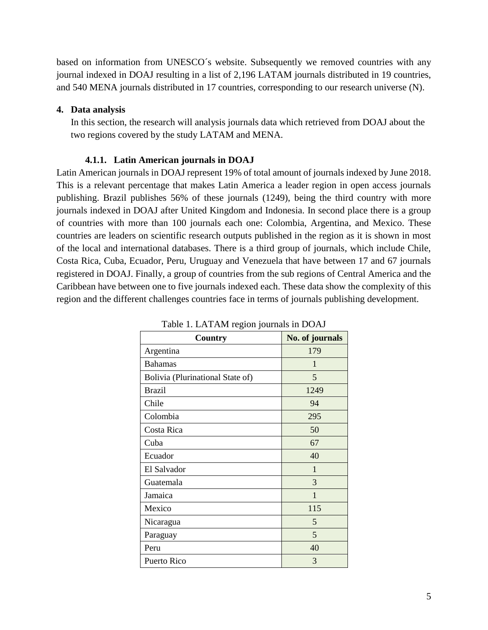based on information from UNESCO´s website. Subsequently we removed countries with any journal indexed in DOAJ resulting in a list of 2,196 LATAM journals distributed in 19 countries, and 540 MENA journals distributed in 17 countries, corresponding to our research universe (N).

## **4. Data analysis**

In this section, the research will analysis journals data which retrieved from DOAJ about the two regions covered by the study LATAM and MENA.

#### **4.1.1. Latin American journals in DOAJ**

Latin American journals in DOAJ represent 19% of total amount of journals indexed by June 2018. This is a relevant percentage that makes Latin America a leader region in open access journals publishing. Brazil publishes 56% of these journals (1249), being the third country with more journals indexed in DOAJ after United Kingdom and Indonesia. In second place there is a group of countries with more than 100 journals each one: Colombia, Argentina, and Mexico. These countries are leaders on scientific research outputs published in the region as it is shown in most of the local and international databases. There is a third group of journals, which include Chile, Costa Rica, Cuba, Ecuador, Peru, Uruguay and Venezuela that have between 17 and 67 journals registered in DOAJ. Finally, a group of countries from the sub regions of Central America and the Caribbean have between one to five journals indexed each. These data show the complexity of this region and the different challenges countries face in terms of journals publishing development.

| Country                          | No. of journals |
|----------------------------------|-----------------|
| Argentina                        | 179             |
| <b>Bahamas</b>                   | 1               |
| Bolivia (Plurinational State of) | 5               |
| <b>Brazil</b>                    | 1249            |
| Chile                            | 94              |
| Colombia                         | 295             |
| Costa Rica                       | 50              |
| Cuba                             | 67              |
| Ecuador                          | 40              |
| El Salvador                      | 1               |
| Guatemala                        | 3               |
| Jamaica                          | $\mathbf{1}$    |
| Mexico                           | 115             |
| Nicaragua                        | 5               |
| Paraguay                         | 5               |
| Peru                             | 40              |
| Puerto Rico                      | 3               |

Table 1. LATAM region journals in DOAJ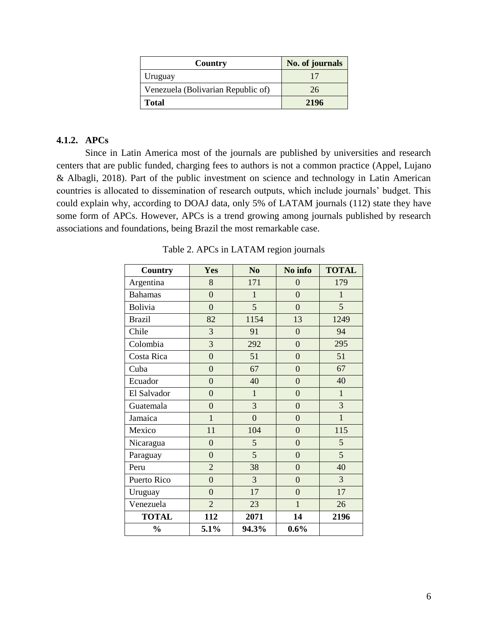| Country                            | No. of journals |
|------------------------------------|-----------------|
| Uruguay                            |                 |
| Venezuela (Bolivarian Republic of) | 26              |
| <b>Total</b>                       | 2196            |

### **4.1.2. APCs**

Since in Latin America most of the journals are published by universities and research centers that are public funded, charging fees to authors is not a common practice (Appel, Lujano & Albagli, 2018). Part of the public investment on science and technology in Latin American countries is allocated to dissemination of research outputs, which include journals' budget. This could explain why, according to DOAJ data, only 5% of LATAM journals (112) state they have some form of APCs. However, APCs is a trend growing among journals published by research associations and foundations, being Brazil the most remarkable case.

| Country        | Yes              | No             | No info          | <b>TOTAL</b> |
|----------------|------------------|----------------|------------------|--------------|
| Argentina      | 8                | 171            | $\overline{0}$   | 179          |
| <b>Bahamas</b> | $\overline{0}$   | 1              | $\overline{0}$   | 1            |
| Bolivia        | $\overline{0}$   | $\overline{5}$ | $\overline{0}$   | 5            |
| <b>Brazil</b>  | 82               | 1154           | 13               | 1249         |
| Chile          | 3                | 91             | $\boldsymbol{0}$ | 94           |
| Colombia       | $\overline{3}$   | 292            | $\overline{0}$   | 295          |
| Costa Rica     | $\overline{0}$   | 51             | $\overline{0}$   | 51           |
| Cuba           | $\overline{0}$   | 67             | $\overline{0}$   | 67           |
| Ecuador        | $\overline{0}$   | 40             | $\overline{0}$   | 40           |
| El Salvador    | $\overline{0}$   | $\mathbf{1}$   | $\overline{0}$   | $\mathbf{1}$ |
| Guatemala      | $\overline{0}$   | $\overline{3}$ | $\overline{0}$   | 3            |
| Jamaica        | $\mathbf{1}$     | $\overline{0}$ | $\overline{0}$   | $\mathbf{1}$ |
| Mexico         | 11               | 104            | $\overline{0}$   | 115          |
| Nicaragua      | $\boldsymbol{0}$ | 5              | $\overline{0}$   | 5            |
| Paraguay       | $\overline{0}$   | 5              | $\overline{0}$   | 5            |
| Peru           | $\overline{2}$   | 38             | $\overline{0}$   | 40           |
| Puerto Rico    | $\overline{0}$   | 3              | $\overline{0}$   | 3            |
| Uruguay        | $\overline{0}$   | 17             | $\overline{0}$   | 17           |
| Venezuela      | $\overline{2}$   | 23             | $\mathbf{1}$     | 26           |
| <b>TOTAL</b>   | 112              | 2071           | 14               | 2196         |
| $\frac{0}{0}$  | 5.1%             | 94.3%          | 0.6%             |              |

Table 2. APCs in LATAM region journals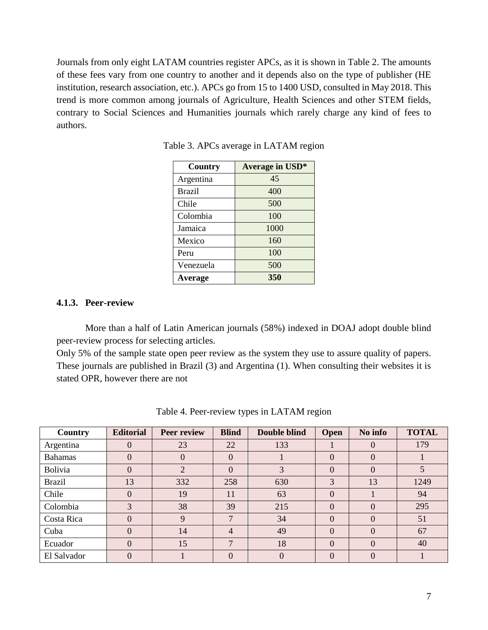Journals from only eight LATAM countries register APCs, as it is shown in Table 2. The amounts of these fees vary from one country to another and it depends also on the type of publisher (HE institution, research association, etc.). APCs go from 15 to 1400 USD, consulted in May 2018. This trend is more common among journals of Agriculture, Health Sciences and other STEM fields, contrary to Social Sciences and Humanities journals which rarely charge any kind of fees to authors.

| Country        | Average in USD* |
|----------------|-----------------|
| Argentina      | 45              |
| <b>Brazil</b>  | 400             |
| Chile          | 500             |
| Colombia       | 100             |
| Jamaica        | 1000            |
| Mexico         | 160             |
| Peru           | 100             |
| Venezuela      | 500             |
| <b>Average</b> | 350             |

Table 3. APCs average in LATAM region

#### **4.1.3. Peer-review**

More than a half of Latin American journals (58%) indexed in DOAJ adopt double blind peer-review process for selecting articles.

Only 5% of the sample state open peer review as the system they use to assure quality of papers. These journals are published in Brazil (3) and Argentina (1). When consulting their websites it is stated OPR, however there are not

| Country        | <b>Editorial</b> | <b>Peer review</b> | <b>Blind</b>   | Double blind | <b>Open</b> | No info  | <b>TOTAL</b> |
|----------------|------------------|--------------------|----------------|--------------|-------------|----------|--------------|
| Argentina      | $\theta$         | 23                 | 22             | 133          |             | $\theta$ | 179          |
| <b>Bahamas</b> | $\theta$         | $\overline{0}$     | $\theta$       |              | $\theta$    | $\Omega$ |              |
| <b>Bolivia</b> | $\theta$         | 2                  | $\Omega$       | 3            | $\Omega$    | $\Omega$ | 5            |
| <b>Brazil</b>  | 13               | 332                | 258            | 630          | 3           | 13       | 1249         |
| Chile          | $\overline{0}$   | 19                 | 11             | 63           | $\Omega$    |          | 94           |
| Colombia       | 3                | 38                 | 39             | 215          | $\theta$    | $\Omega$ | 295          |
| Costa Rica     | $\overline{0}$   | 9                  | $\mathcal{L}$  | 34           | $\theta$    |          | 51           |
| Cuba           | $\overline{0}$   | 14                 | $\overline{4}$ | 49           | $\theta$    | $\Omega$ | 67           |
| Ecuador        | $\overline{0}$   | 15                 |                | 18           | $\Omega$    | $\left($ | 40           |
| El Salvador    | $\theta$         |                    | $\Omega$       | $\Omega$     | $\theta$    |          |              |

Table 4. Peer-review types in LATAM region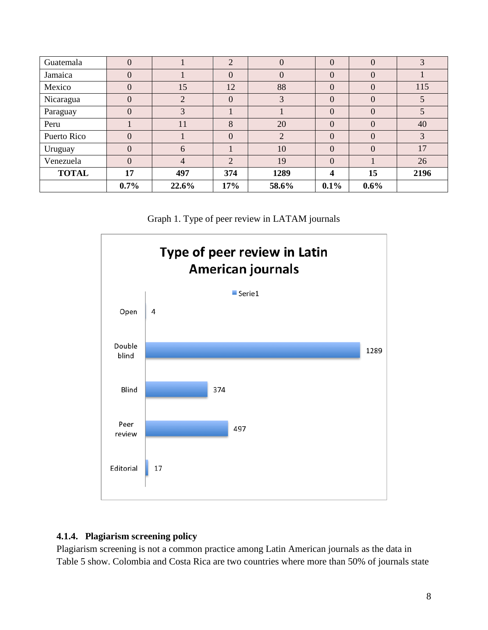| Guatemala    | $\theta$       |       | $\overline{2}$ | $\overline{0}$ | $\Omega$       | $\Omega$ | 3    |
|--------------|----------------|-------|----------------|----------------|----------------|----------|------|
| Jamaica      | $\overline{0}$ |       | $\theta$       | $\overline{0}$ | $\theta$       | $\Omega$ |      |
| Mexico       | $\theta$       | 15    | 12             | 88             | $\overline{0}$ | $\Omega$ | 115  |
| Nicaragua    | $\theta$       | 2     | $\theta$       | 3              | $\Omega$       | $\theta$ | 5    |
| Paraguay     | $\theta$       | 3     |                |                | $\Omega$       | $\Omega$ | 5    |
| Peru         |                | 11    | 8              | 20             | $\overline{0}$ | $\Omega$ | 40   |
| Puerto Rico  | $\Omega$       |       | $\Omega$       | 2              | $\Omega$       | $\Omega$ | 3    |
| Uruguay      | $\overline{0}$ | 6     |                | 10             | $\overline{0}$ | $\Omega$ | 17   |
| Venezuela    | $\overline{0}$ | 4     | $\overline{2}$ | 19             | $\overline{0}$ |          | 26   |
| <b>TOTAL</b> | 17             | 497   | 374            | 1289           | 4              | 15       | 2196 |
|              | $0.7\%$        | 22.6% | 17%            | 58.6%          | 0.1%           | $0.6\%$  |      |





## **4.1.4. Plagiarism screening policy**

Plagiarism screening is not a common practice among Latin American journals as the data in Table 5 show. Colombia and Costa Rica are two countries where more than 50% of journals state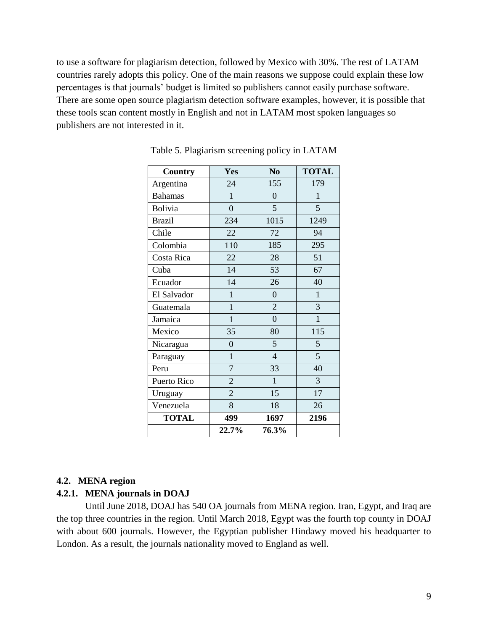to use a software for plagiarism detection, followed by Mexico with 30%. The rest of LATAM countries rarely adopts this policy. One of the main reasons we suppose could explain these low percentages is that journals' budget is limited so publishers cannot easily purchase software. There are some open source plagiarism detection software examples, however, it is possible that these tools scan content mostly in English and not in LATAM most spoken languages so publishers are not interested in it.

| <b>Country</b> | Yes              | N <sub>0</sub> | <b>TOTAL</b> |
|----------------|------------------|----------------|--------------|
| Argentina      | 24               | 155            | 179          |
| <b>Bahamas</b> | $\mathbf{1}$     | $\overline{0}$ | $\mathbf{1}$ |
| <b>Bolivia</b> | $\boldsymbol{0}$ | 5              | 5            |
| <b>Brazil</b>  | 234              | 1015           | 1249         |
| Chile          | 22               | 72             | 94           |
| Colombia       | 110              | 185            | 295          |
| Costa Rica     | 22               | 28             | 51           |
| Cuba           | 14               | 53             | 67           |
| Ecuador        | 14               | 26             | 40           |
| El Salvador    | $\mathbf{1}$     | $\overline{0}$ | $\mathbf{1}$ |
| Guatemala      | $\mathbf{1}$     | $\overline{2}$ | 3            |
| Jamaica        | $\mathbf{1}$     | $\overline{0}$ | $\mathbf{1}$ |
| Mexico         | 35               | 80             | 115          |
| Nicaragua      | $\overline{0}$   | 5              | 5            |
| Paraguay       | $\mathbf{1}$     | $\overline{4}$ | 5            |
| Peru           | 7                | 33             | 40           |
| Puerto Rico    | $\overline{2}$   | $\mathbf{1}$   | 3            |
| Uruguay        | $\overline{2}$   | 15             | 17           |
| Venezuela      | 8                | 18             | 26           |
| <b>TOTAL</b>   | 499              | 1697           | 2196         |
|                | 22.7%            | 76.3%          |              |

Table 5. Plagiarism screening policy in LATAM

#### **4.2. MENA region**

#### **4.2.1. MENA journals in DOAJ**

Until June 2018, DOAJ has 540 OA journals from MENA region. Iran, Egypt, and Iraq are the top three countries in the region. Until March 2018, Egypt was the fourth top county in DOAJ with about 600 journals. However, the Egyptian publisher Hindawy moved his headquarter to London. As a result, the journals nationality moved to England as well.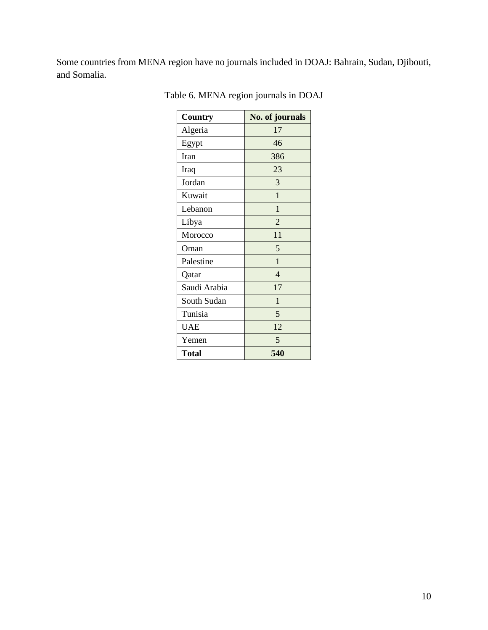Some countries from MENA region have no journals included in DOAJ: Bahrain, Sudan, Djibouti, and Somalia.

| Country      | No. of journals |
|--------------|-----------------|
| Algeria      | 17              |
| Egypt        | 46              |
| Iran         | 386             |
| Iraq         | 23              |
| Jordan       | 3               |
| Kuwait       | $\mathbf{1}$    |
| Lebanon      | 1               |
| Libya        | $\overline{2}$  |
| Morocco      | 11              |
| Oman         | 5               |
| Palestine    | $\mathbf{1}$    |
| Qatar        | 4               |
| Saudi Arabia | 17              |
| South Sudan  | $\mathbf{1}$    |
| Tunisia      | 5               |
| <b>UAE</b>   | 12              |
| Yemen        | 5               |
| <b>Total</b> | 540             |

Table 6. MENA region journals in DOAJ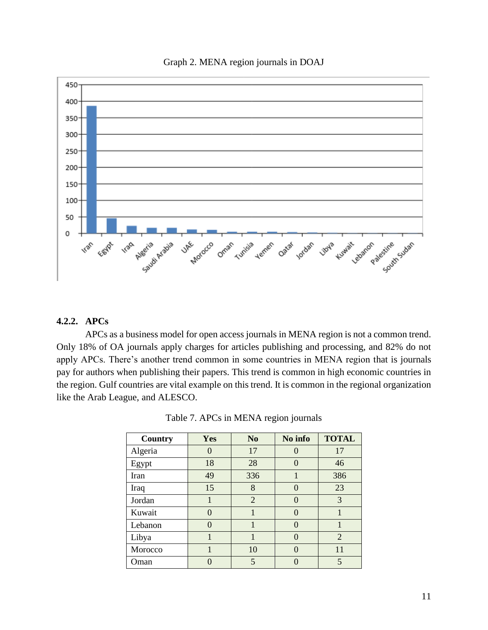



## **4.2.2. APCs**

APCs as a business model for open access journals in MENA region is not a common trend. Only 18% of OA journals apply charges for articles publishing and processing, and 82% do not apply APCs. There's another trend common in some countries in MENA region that is journals pay for authors when publishing their papers. This trend is common in high economic countries in the region. Gulf countries are vital example on this trend. It is common in the regional organization like the Arab League, and ALESCO.

| Country | Yes               | N <sub>0</sub> | No info          | <b>TOTAL</b>   |
|---------|-------------------|----------------|------------------|----------------|
| Algeria | $\mathbf{\Omega}$ | 17             |                  | 17             |
| Egypt   | 18                | 28             | $\mathcal{O}$    | 46             |
| Iran    | 49                | 336            | 1                | 386            |
| Iraq    | 15                | 8              | $\mathcal{O}$    | 23             |
| Jordan  |                   | $\overline{2}$ | 0                | 3              |
| Kuwait  | $\left( \right)$  |                | $\left( \right)$ |                |
| Lebanon | $\Omega$          |                | $\left( \right)$ |                |
| Libya   |                   |                | 0                | $\overline{2}$ |
| Morocco |                   | 10             | $\mathcal{O}$    | 11             |
| Oman    | ∩                 | 5              |                  | 5              |

Table 7. APCs in MENA region journals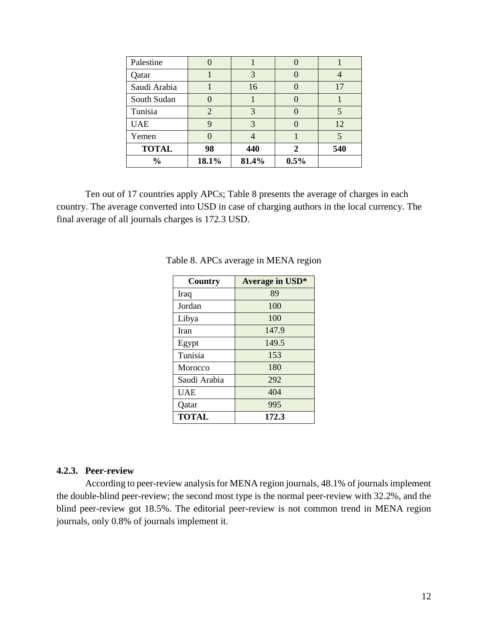| Palestine     |                |       |      |     |
|---------------|----------------|-------|------|-----|
| Qatar         |                | 3     |      |     |
| Saudi Arabia  |                | 16    |      | 17  |
| South Sudan   |                |       |      |     |
| Tunisia       | $\overline{2}$ | 3     |      |     |
| <b>UAE</b>    | q              | 3     |      | 12  |
| Yemen         |                |       |      |     |
| <b>TOTAL</b>  | 98             | 440   |      | 540 |
| $\frac{0}{0}$ | 18.1%          | 81.4% | 0.5% |     |

Ten out of 17 countries apply APCs; Table 8 presents the average of charges in each country. The average converted into USD in case of charging authors in the local currency. The final average of all journals charges is 172.3 USD.

| <b>Country</b> | <b>Average in USD*</b> |
|----------------|------------------------|
| Iraq           | 89                     |
| Jordan         | 100                    |
| Libya          | 100                    |
| Iran           | 147.9                  |
| Egypt          | 149.5                  |
| Tunisia        | 153                    |
| Morocco        | 180                    |
| Saudi Arabia   | 292                    |
| <b>UAE</b>     | 404                    |
| Qatar          | 995                    |
| <b>TOTAL</b>   | 172.3                  |

Table 8. APCs average in MENA region

#### **4.2.3. Peer-review**

According to peer-review analysis for MENA region journals, 48.1% of journals implement the double-blind peer-review; the second most type is the normal peer-review with 32.2%, and the blind peer-review got 18.5%. The editorial peer-review is not common trend in MENA region journals, only 0.8% of journals implement it.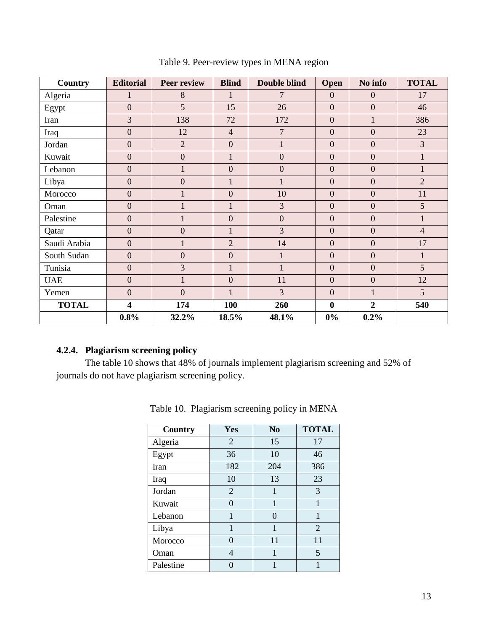| Country      | <b>Editorial</b>        | <b>Peer review</b> | <b>Blind</b>   | <b>Double blind</b> | Open           | No info        | <b>TOTAL</b>   |
|--------------|-------------------------|--------------------|----------------|---------------------|----------------|----------------|----------------|
| Algeria      | $\mathbf{1}$            | 8                  | $\mathbf{1}$   | $\overline{7}$      | $\mathbf{0}$   | $\overline{0}$ | 17             |
| Egypt        | $\boldsymbol{0}$        | 5                  | 15             | 26                  | $\overline{0}$ | $\overline{0}$ | 46             |
| Iran         | 3                       | 138                | 72             | 172                 | $\overline{0}$ | $\mathbf{1}$   | 386            |
| Iraq         | $\boldsymbol{0}$        | 12                 | $\overline{4}$ | $\overline{7}$      | $\overline{0}$ | $\overline{0}$ | 23             |
| Jordan       | $\boldsymbol{0}$        | $\overline{2}$     | $\overline{0}$ | $\mathbf{1}$        | $\overline{0}$ | $\overline{0}$ | 3              |
| Kuwait       | $\boldsymbol{0}$        | $\boldsymbol{0}$   | $\mathbf{1}$   | $\boldsymbol{0}$    | $\overline{0}$ | $\overline{0}$ | $\mathbf{1}$   |
| Lebanon      | $\overline{0}$          | $\mathbf{1}$       | $\overline{0}$ | $\mathbf{0}$        | $\overline{0}$ | $\overline{0}$ | $\mathbf{1}$   |
| Libya        | $\boldsymbol{0}$        | $\overline{0}$     | $\mathbf{1}$   | $\mathbf{1}$        | $\overline{0}$ | $\overline{0}$ | $\overline{2}$ |
| Morocco      | $\boldsymbol{0}$        | $\mathbf{1}$       | $\overline{0}$ | 10                  | $\overline{0}$ | $\overline{0}$ | 11             |
| Oman         | $\boldsymbol{0}$        |                    | $\mathbf{1}$   | 3                   | $\overline{0}$ | $\overline{0}$ | 5              |
| Palestine    | $\boldsymbol{0}$        |                    | $\overline{0}$ | $\boldsymbol{0}$    | $\overline{0}$ | $\mathbf{0}$   | $\mathbf{1}$   |
| Qatar        | $\overline{0}$          | $\overline{0}$     | $\mathbf{1}$   | 3                   | $\overline{0}$ | $\overline{0}$ | $\overline{4}$ |
| Saudi Arabia | $\mathbf{0}$            | $\mathbf{1}$       | $\overline{2}$ | 14                  | $\overline{0}$ | $\mathbf{0}$   | 17             |
| South Sudan  | $\mathbf{0}$            | $\overline{0}$     | $\overline{0}$ | $\mathbf{1}$        | $\overline{0}$ | $\overline{0}$ | $\mathbf{1}$   |
| Tunisia      | $\boldsymbol{0}$        | 3                  | $\mathbf{1}$   | $\mathbf{1}$        | $\overline{0}$ | $\overline{0}$ | 5              |
| <b>UAE</b>   | $\overline{0}$          | $\mathbf{1}$       | $\overline{0}$ | 11                  | $\overline{0}$ | $\mathbf{0}$   | 12             |
| Yemen        | $\overline{0}$          | $\overline{0}$     | $\mathbf{1}$   | 3                   | $\overline{0}$ | $\mathbf{1}$   | $\overline{5}$ |
| <b>TOTAL</b> | $\overline{\mathbf{4}}$ | 174                | 100            | 260                 | $\bf{0}$       | $\overline{2}$ | 540            |
|              | 0.8%                    | 32.2%              | 18.5%          | 48.1%               | $0\%$          | 0.2%           |                |

Table 9. Peer-review types in MENA region

## **4.2.4. Plagiarism screening policy**

The table 10 shows that 48% of journals implement plagiarism screening and 52% of journals do not have plagiarism screening policy.

| Country   | Yes            | N <sub>0</sub> | <b>TOTAL</b>   |
|-----------|----------------|----------------|----------------|
| Algeria   | 2              | 15             | 17             |
| Egypt     | 36             | 10             | 46             |
| Iran      | 182            | 204            | 386            |
| Iraq      | 10             | 13             | 23             |
| Jordan    | $\overline{2}$ | 1              | 3              |
| Kuwait    | 0              | 1              | 1              |
| Lebanon   | 1              | 0              | 1              |
| Libya     | 1              | 1              | $\overline{2}$ |
| Morocco   | 0              | 11             | 11             |
| Oman      | 4              | 1              | 5              |
| Palestine |                |                |                |

Table 10. Plagiarism screening policy in MENA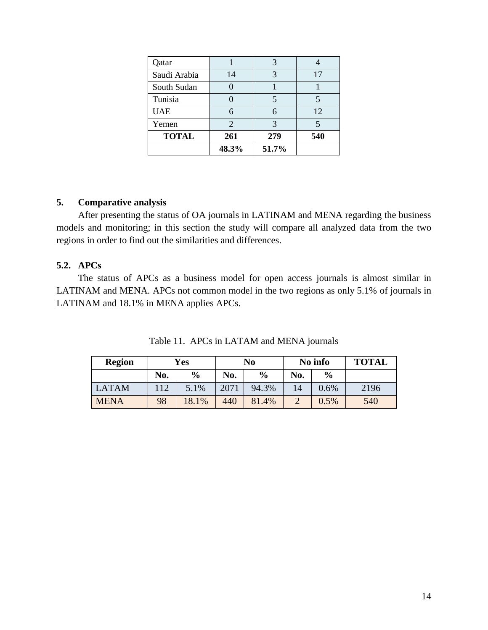| Qatar        |       |       |     |
|--------------|-------|-------|-----|
| Saudi Arabia | 14    |       | 17  |
| South Sudan  |       |       |     |
| Tunisia      |       |       |     |
| <b>UAE</b>   |       |       | 12  |
| Yemen        | 2     | 3     |     |
| <b>TOTAL</b> | 261   | 279   | 540 |
|              | 48.3% | 51.7% |     |

#### **5. Comparative analysis**

After presenting the status of OA journals in LATINAM and MENA regarding the business models and monitoring; in this section the study will compare all analyzed data from the two regions in order to find out the similarities and differences.

## **5.2. APCs**

The status of APCs as a business model for open access journals is almost similar in LATINAM and MENA. APCs not common model in the two regions as only 5.1% of journals in LATINAM and 18.1% in MENA applies APCs.

| <b>Region</b> | <b>Yes</b> |               | No   |               | No info |               | <b>TOTAL</b> |
|---------------|------------|---------------|------|---------------|---------|---------------|--------------|
|               | No.        | $\frac{0}{0}$ | No.  | $\frac{6}{9}$ | No.     | $\frac{0}{0}$ |              |
| <b>LATAM</b>  | 112        | 5.1%          | 2071 | 94.3%         | 14      | 0.6%          | 2196         |
| <b>MENA</b>   | 98         | 18.1%         | 440  | 81.4%         |         | 0.5%          | 540          |

Table 11. APCs in LATAM and MENA journals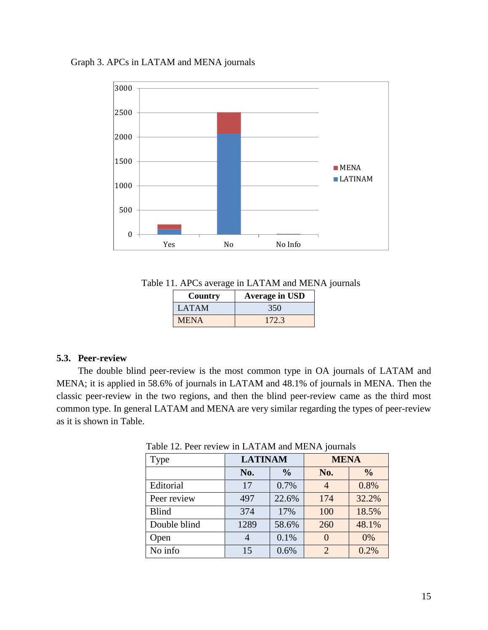Graph 3. APCs in LATAM and MENA journals



Table 11. APCs average in LATAM and MENA journals

| Country      | <b>Average in USD</b> |  |  |
|--------------|-----------------------|--|--|
| <b>LATAM</b> | 350                   |  |  |
| <b>MENA</b>  | 172.3                 |  |  |

#### **5.3. Peer-review**

The double blind peer-review is the most common type in OA journals of LATAM and MENA; it is applied in 58.6% of journals in LATAM and 48.1% of journals in MENA. Then the classic peer-review in the two regions, and then the blind peer-review came as the third most common type. In general LATAM and MENA are very similar regarding the types of peer-review as it is shown in Table.

| <b>Type</b>  | <b>LATINAM</b> |               | <b>MENA</b>    |               |
|--------------|----------------|---------------|----------------|---------------|
|              | No.            | $\frac{0}{0}$ | No.            | $\frac{0}{0}$ |
| Editorial    | 17             | 0.7%          | 4              | 0.8%          |
| Peer review  | 497            | 22.6%         | 174            | 32.2%         |
| <b>Blind</b> | 374            | 17%           | 100            | 18.5%         |
| Double blind | 1289           | 58.6%         | 260            | 48.1%         |
| Open         |                | 0.1%          | $\Omega$       | 0%            |
| No info      | 15             | 0.6%          | $\mathfrak{D}$ | 0.2%          |

Table 12. Peer review in LATAM and MENA journals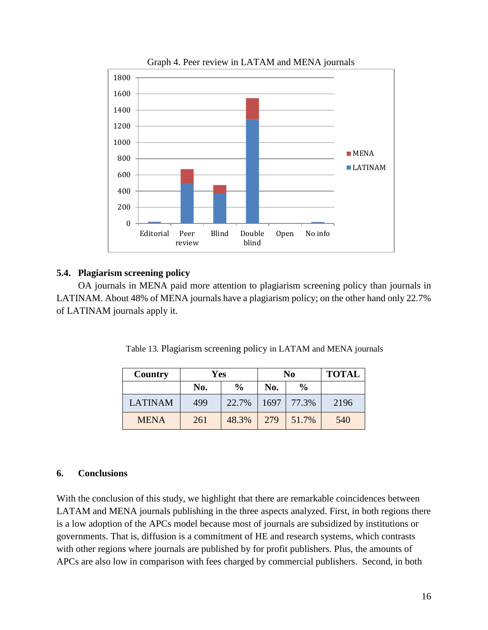

Graph 4. Peer review in LATAM and MENA journals

### **5.4. Plagiarism screening policy**

OA journals in MENA paid more attention to plagiarism screening policy than journals in LATINAM. About 48% of MENA journals have a plagiarism policy; on the other hand only 22.7% of LATINAM journals apply it.

| Table 13. Plagiarism screening policy in LATAM and MENA journals |  |
|------------------------------------------------------------------|--|
|------------------------------------------------------------------|--|

| Country        | Yes |               |      | N <sub>0</sub> | <b>TOTAL</b> |
|----------------|-----|---------------|------|----------------|--------------|
|                | No. | $\frac{0}{0}$ | No.  | $\frac{0}{0}$  |              |
| <b>LATINAM</b> | 499 | 22.7%         | 1697 | 77.3%          | 2196         |
| <b>MENA</b>    | 261 | 48.3%         | 279  | 51.7%          | 540          |

#### **6. Conclusions**

With the conclusion of this study, we highlight that there are remarkable coincidences between LATAM and MENA journals publishing in the three aspects analyzed. First, in both regions there is a low adoption of the APCs model because most of journals are subsidized by institutions or governments. That is, diffusion is a commitment of HE and research systems, which contrasts with other regions where journals are published by for profit publishers. Plus, the amounts of APCs are also low in comparison with fees charged by commercial publishers. Second, in both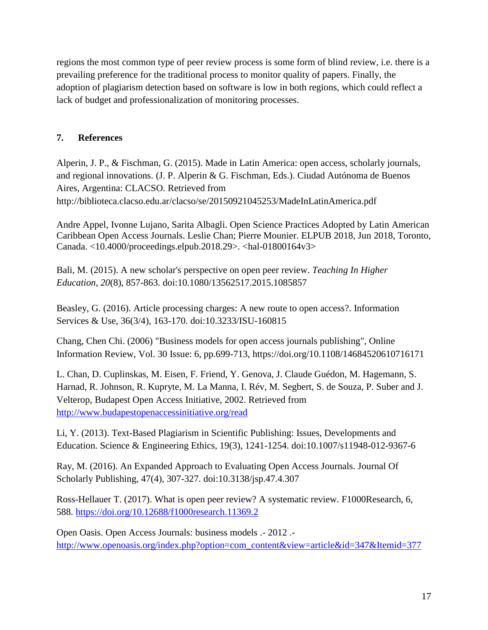regions the most common type of peer review process is some form of blind review, i.e. there is a prevailing preference for the traditional process to monitor quality of papers. Finally, the adoption of plagiarism detection based on software is low in both regions, which could reflect a lack of budget and professionalization of monitoring processes.

## **7. References**

Alperin, J. P., & Fischman, G. (2015). Made in Latin America: open access, scholarly journals, and regional innovations. (J. P. Alperin & G. Fischman, Eds.). Ciudad Autónoma de Buenos Aires, Argentina: CLACSO. Retrieved from http://biblioteca.clacso.edu.ar/clacso/se/20150921045253/MadeInLatinAmerica.pdf

Andre Appel, Ivonne Lujano, Sarita Albagli. Open Science Practices Adopted by Latin American Caribbean Open Access Journals. Leslie Chan; Pierre Mounier. ELPUB 2018, Jun 2018, Toronto, Canada. <10.4000/proceedings.elpub.2018.29>. <hal-01800164v3>

Bali, M. (2015). A new scholar's perspective on open peer review. *Teaching In Higher Education*, *20*(8), 857-863. doi:10.1080/13562517.2015.1085857

Beasley, G. (2016). Article processing charges: A new route to open access?. Information Services & Use, 36(3/4), 163-170. doi:10.3233/ISU-160815

Chang, Chen Chi. (2006) "Business models for open access journals publishing", Online Information Review, Vol. 30 Issue: 6, pp.699-713, https://doi.org/10.1108/14684520610716171

L. Chan, D. Cuplinskas, M. Eisen, F. Friend, Y. Genova, J. Claude Guédon, M. Hagemann, S. Harnad, R. Johnson, R. Kupryte, M. La Manna, I. Rév, M. Segbert, S. de Souza, P. Suber and J. Velterop, Budapest Open Access Initiative, 2002. Retrieved from <http://www.budapestopenaccessinitiative.org/read>

Li, Y. (2013). Text-Based Plagiarism in Scientific Publishing: Issues, Developments and Education. Science & Engineering Ethics, 19(3), 1241-1254. doi:10.1007/s11948-012-9367-6

Ray, M. (2016). An Expanded Approach to Evaluating Open Access Journals. Journal Of Scholarly Publishing, 47(4), 307-327. doi:10.3138/jsp.47.4.307

Ross-Hellauer T. (2017). What is open peer review? A systematic review. F1000Research, 6, 588.<https://doi.org/10.12688/f1000research.11369.2>

Open Oasis. Open Access Journals: business models .- 2012 . [http://www.openoasis.org/index.php?option=com\\_content&view=article&id=347&Itemid=377](http://www.openoasis.org/index.php?option=com_content&view=article&id=347&Itemid=377)